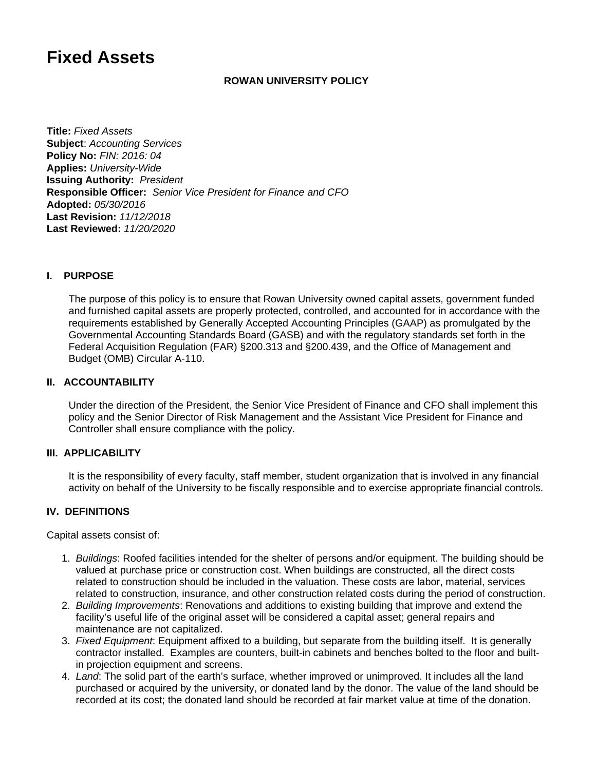# **Fixed Assets**

#### **ROWAN UNIVERSITY POLICY**

**Title:** Fixed Assets **Subject**: Accounting Services **Policy No:** FIN: 2016: 04 **Applies:** University-Wide **Issuing Authority:** President **Responsible Officer:** Senior Vice President for Finance and CFO **Adopted:** 05/30/2016 **Last Revision:** 11/12/2018 **Last Reviewed:** 11/20/2020

## **I. PURPOSE**

The purpose of this policy is to ensure that Rowan University owned capital assets, government funded and furnished capital assets are properly protected, controlled, and accounted for in accordance with the requirements established by Generally Accepted Accounting Principles (GAAP) as promulgated by the Governmental Accounting Standards Board (GASB) and with the regulatory standards set forth in the Federal Acquisition Regulation (FAR) §200.313 and §200.439, and the Office of Management and Budget (OMB) Circular A-110.

#### **II. ACCOUNTABILITY**

Under the direction of the President, the Senior Vice President of Finance and CFO shall implement this policy and the Senior Director of Risk Management and the Assistant Vice President for Finance and Controller shall ensure compliance with the policy.

#### **III. APPLICABILITY**

It is the responsibility of every faculty, staff member, student organization that is involved in any financial activity on behalf of the University to be fiscally responsible and to exercise appropriate financial controls.

## **IV. DEFINITIONS**

Capital assets consist of:

- 1. Buildings: Roofed facilities intended for the shelter of persons and/or equipment. The building should be valued at purchase price or construction cost. When buildings are constructed, all the direct costs related to construction should be included in the valuation. These costs are labor, material, services related to construction, insurance, and other construction related costs during the period of construction.
- 2. Building Improvements: Renovations and additions to existing building that improve and extend the facility's useful life of the original asset will be considered a capital asset; general repairs and maintenance are not capitalized.
- 3. Fixed Equipment: Equipment affixed to a building, but separate from the building itself. It is generally contractor installed. Examples are counters, built-in cabinets and benches bolted to the floor and builtin projection equipment and screens.
- 4. Land: The solid part of the earth's surface, whether improved or unimproved. It includes all the land purchased or acquired by the university, or donated land by the donor. The value of the land should be recorded at its cost; the donated land should be recorded at fair market value at time of the donation.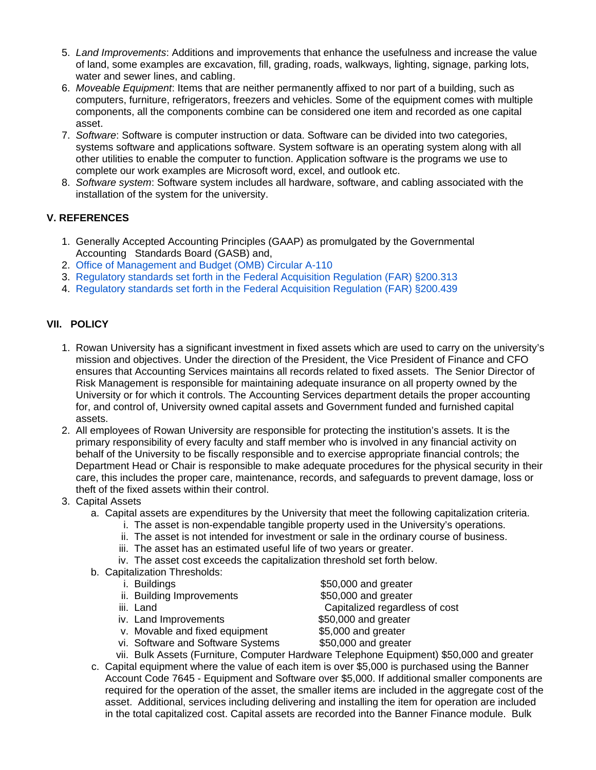- 5. Land Improvements: Additions and improvements that enhance the usefulness and increase the value of land, some examples are excavation, fill, grading, roads, walkways, lighting, signage, parking lots, water and sewer lines, and cabling.
- 6. Moveable Equipment: Items that are neither permanently affixed to nor part of a building, such as computers, furniture, refrigerators, freezers and vehicles. Some of the equipment comes with multiple components, all the components combine can be considered one item and recorded as one capital asset.
- 7. Software: Software is computer instruction or data. Software can be divided into two categories, systems software and applications software. System software is an operating system along with all other utilities to enable the computer to function. Application software is the programs we use to complete our work examples are Microsoft word, excel, and outlook etc.
- 8. Software system: Software system includes all hardware, software, and cabling associated with the installation of the system for the university.

# **V. REFERENCES**

- 1. Generally Accepted Accounting Principles (GAAP) as promulgated by the Governmental Accounting Standards Board (GASB) and,
- 2. [Office of Management and Budget \(OMB\) Circular A-110](https://www.whitehouse.gov/wp-content/uploads/2017/11/Circular-110.pdf)
- 3. [Regulatory standards set forth in the Federal Acquisition Regulation \(FAR\) §200.313](https://www.ecfr.gov/cgi-bin/text-idx?node=se2.1.200_1313&rgn=div8)
- 4. [Regulatory standards set forth in the Federal Acquisition Regulation \(FAR\) §200.439](https://www.ecfr.gov/cgi-bin/text-idx?SID=5921cc1590cbb94828b9e83f64c0d71e&mc=true&node=se2.1.200_1439&rgn=div8)

# **VII. POLICY**

- 1. Rowan University has a significant investment in fixed assets which are used to carry on the university's mission and objectives. Under the direction of the President, the Vice President of Finance and CFO ensures that Accounting Services maintains all records related to fixed assets. The Senior Director of Risk Management is responsible for maintaining adequate insurance on all property owned by the University or for which it controls. The Accounting Services department details the proper accounting for, and control of, University owned capital assets and Government funded and furnished capital assets.
- 2. All employees of Rowan University are responsible for protecting the institution's assets. It is the primary responsibility of every faculty and staff member who is involved in any financial activity on behalf of the University to be fiscally responsible and to exercise appropriate financial controls; the Department Head or Chair is responsible to make adequate procedures for the physical security in their care, this includes the proper care, maintenance, records, and safeguards to prevent damage, loss or theft of the fixed assets within their control.
- 3. Capital Assets
	- a. Capital assets are expenditures by the University that meet the following capitalization criteria.
		- i. The asset is non-expendable tangible property used in the University's operations.
		- ii. The asset is not intended for investment or sale in the ordinary course of business.
		- iii. The asset has an estimated useful life of two years or greater.
		- iv. The asset cost exceeds the capitalization threshold set forth below.
	- b. Capitalization Thresholds:
		- i.
		- ii. Building Improvements **\$50,000** and greater
		- iii. Land
		- iv. Land Improvements
		- v. Movable and fixed equipment \$5,000 and greater
		- vi. Software and Software Systems  $$50,000$  and greater
		- vii. Bulk Assets (Furniture, Computer Hardware Telephone Equipment) \$50,000 and greater
	- c. Capital equipment where the value of each item is over \$5,000 is purchased using the Banner Account Code 7645 - Equipment and Software over \$5,000. If additional smaller components are required for the operation of the asset, the smaller items are included in the aggregate cost of the asset. Additional, services including delivering and installing the item for operation are included in the total capitalized cost. Capital assets are recorded into the Banner Finance module. Bulk
- $$50,000$  and greater Capitalized regardless of cost \$50,000 and greater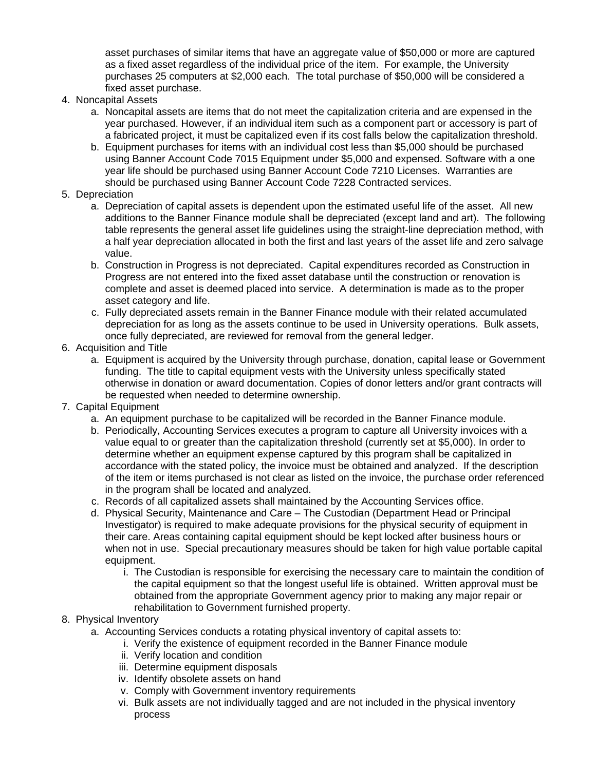asset purchases of similar items that have an aggregate value of \$50,000 or more are captured as a fixed asset regardless of the individual price of the item. For example, the University purchases 25 computers at \$2,000 each. The total purchase of \$50,000 will be considered a fixed asset purchase.

- 4. Noncapital Assets
	- a. Noncapital assets are items that do not meet the capitalization criteria and are expensed in the year purchased. However, if an individual item such as a component part or accessory is part of a fabricated project, it must be capitalized even if its cost falls below the capitalization threshold.
	- b. Equipment purchases for items with an individual cost less than \$5,000 should be purchased using Banner Account Code 7015 Equipment under \$5,000 and expensed. Software with a one year life should be purchased using Banner Account Code 7210 Licenses. Warranties are should be purchased using Banner Account Code 7228 Contracted services.

#### 5. Depreciation

- a. Depreciation of capital assets is dependent upon the estimated useful life of the asset. All new additions to the Banner Finance module shall be depreciated (except land and art). The following table represents the general asset life guidelines using the straight-line depreciation method, with a half year depreciation allocated in both the first and last years of the asset life and zero salvage value.
- b. Construction in Progress is not depreciated. Capital expenditures recorded as Construction in Progress are not entered into the fixed asset database until the construction or renovation is complete and asset is deemed placed into service. A determination is made as to the proper asset category and life.
- c. Fully depreciated assets remain in the Banner Finance module with their related accumulated depreciation for as long as the assets continue to be used in University operations. Bulk assets, once fully depreciated, are reviewed for removal from the general ledger.
- 6. Acquisition and Title
	- a. Equipment is acquired by the University through purchase, donation, capital lease or Government funding. The title to capital equipment vests with the University unless specifically stated otherwise in donation or award documentation. Copies of donor letters and/or grant contracts will be requested when needed to determine ownership.
- 7. Capital Equipment
	- a. An equipment purchase to be capitalized will be recorded in the Banner Finance module.
	- b. Periodically, Accounting Services executes a program to capture all University invoices with a value equal to or greater than the capitalization threshold (currently set at \$5,000). In order to determine whether an equipment expense captured by this program shall be capitalized in accordance with the stated policy, the invoice must be obtained and analyzed. If the description of the item or items purchased is not clear as listed on the invoice, the purchase order referenced in the program shall be located and analyzed.
	- c. Records of all capitalized assets shall maintained by the Accounting Services office.
	- d. Physical Security, Maintenance and Care The Custodian (Department Head or Principal Investigator) is required to make adequate provisions for the physical security of equipment in their care. Areas containing capital equipment should be kept locked after business hours or when not in use. Special precautionary measures should be taken for high value portable capital equipment.
		- i. The Custodian is responsible for exercising the necessary care to maintain the condition of the capital equipment so that the longest useful life is obtained. Written approval must be obtained from the appropriate Government agency prior to making any major repair or rehabilitation to Government furnished property.

# 8. Physical Inventory

- a. Accounting Services conducts a rotating physical inventory of capital assets to:
	- i. Verify the existence of equipment recorded in the Banner Finance module
	- ii. Verify location and condition
	- iii. Determine equipment disposals
	- iv. Identify obsolete assets on hand
	- v. Comply with Government inventory requirements
	- vi. Bulk assets are not individually tagged and are not included in the physical inventory process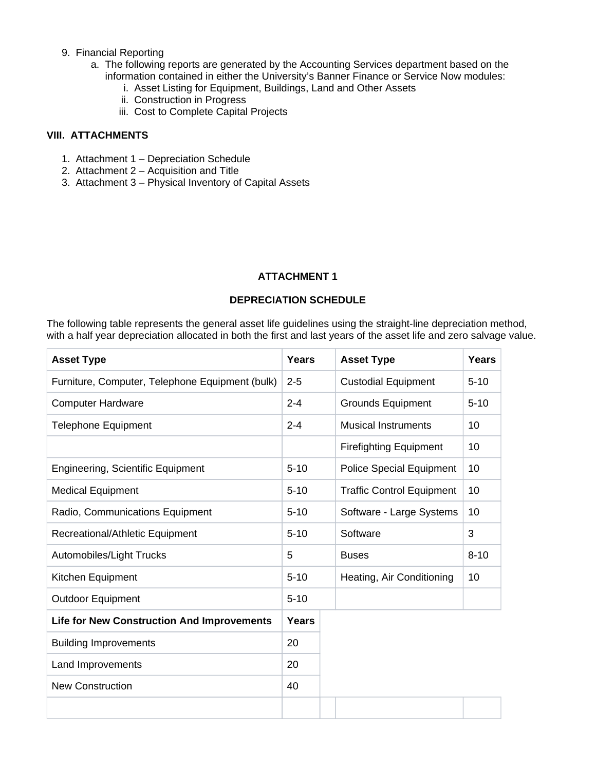#### 9. Financial Reporting

- a. The following reports are generated by the Accounting Services department based on the information contained in either the University's Banner Finance or Service Now modules:
	- i. Asset Listing for Equipment, Buildings, Land and Other Assets
	- ii. Construction in Progress
	- iii. Cost to Complete Capital Projects

# **VIII. ATTACHMENTS**

- 1. Attachment 1 Depreciation Schedule
- 2. Attachment 2 Acquisition and Title
- 3. Attachment 3 Physical Inventory of Capital Assets

## **ATTACHMENT 1**

#### **DEPRECIATION SCHEDULE**

The following table represents the general asset life guidelines using the straight-line depreciation method, with a half year depreciation allocated in both the first and last years of the asset life and zero salvage value.

| <b>Asset Type</b>                                 | <b>Years</b> | <b>Asset Type</b>                | <b>Years</b> |
|---------------------------------------------------|--------------|----------------------------------|--------------|
| Furniture, Computer, Telephone Equipment (bulk)   | $2 - 5$      | <b>Custodial Equipment</b>       | $5 - 10$     |
| <b>Computer Hardware</b>                          | $2 - 4$      | <b>Grounds Equipment</b>         | $5 - 10$     |
| <b>Telephone Equipment</b>                        | $2 - 4$      | <b>Musical Instruments</b>       | 10           |
|                                                   |              | <b>Firefighting Equipment</b>    | 10           |
| <b>Engineering, Scientific Equipment</b>          | $5 - 10$     | <b>Police Special Equipment</b>  | 10           |
| <b>Medical Equipment</b>                          | $5 - 10$     | <b>Traffic Control Equipment</b> | 10           |
| Radio, Communications Equipment                   | $5 - 10$     | Software - Large Systems         | 10           |
| Recreational/Athletic Equipment                   | $5 - 10$     | Software                         | 3            |
| Automobiles/Light Trucks                          | 5            | <b>Buses</b>                     | $8 - 10$     |
| Kitchen Equipment                                 | $5 - 10$     | Heating, Air Conditioning        | 10           |
| <b>Outdoor Equipment</b>                          | $5 - 10$     |                                  |              |
| <b>Life for New Construction And Improvements</b> | Years        |                                  |              |
| <b>Building Improvements</b>                      | 20           |                                  |              |
| Land Improvements                                 | 20           |                                  |              |
| <b>New Construction</b>                           | 40           |                                  |              |
|                                                   |              |                                  |              |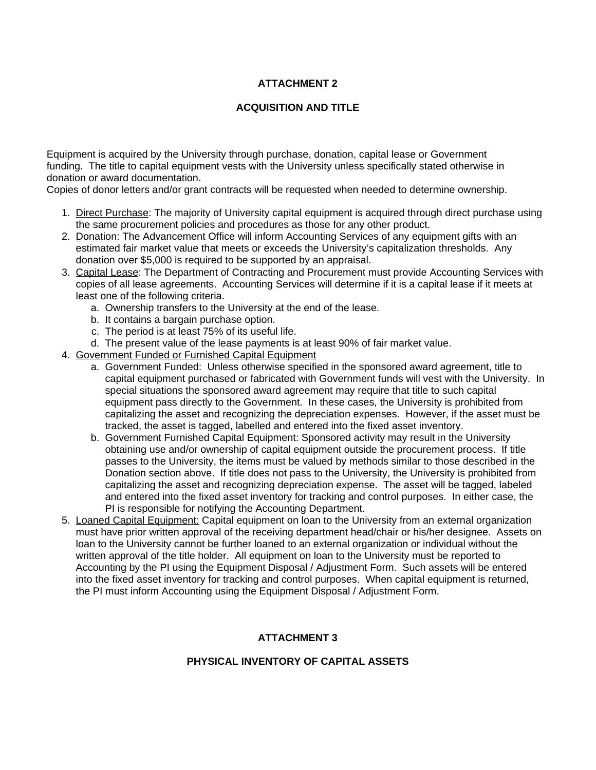# **ATTACHMENT 2**

## **ACQUISITION AND TITLE**

Equipment is acquired by the University through purchase, donation, capital lease or Government funding. The title to capital equipment vests with the University unless specifically stated otherwise in donation or award documentation.

Copies of donor letters and/or grant contracts will be requested when needed to determine ownership.

- 1. Direct Purchase: The majority of University capital equipment is acquired through direct purchase using the same procurement policies and procedures as those for any other product.
- 2. Donation: The Advancement Office will inform Accounting Services of any equipment gifts with an estimated fair market value that meets or exceeds the University's capitalization thresholds. Any donation over \$5,000 is required to be supported by an appraisal.
- 3. Capital Lease: The Department of Contracting and Procurement must provide Accounting Services with copies of all lease agreements. Accounting Services will determine if it is a capital lease if it meets at least one of the following criteria.
	- a. Ownership transfers to the University at the end of the lease.
	- b. It contains a bargain purchase option.
	- c. The period is at least 75% of its useful life.
	- d. The present value of the lease payments is at least 90% of fair market value.
- 4. Government Funded or Furnished Capital Equipment
	- a. Government Funded: Unless otherwise specified in the sponsored award agreement, title to capital equipment purchased or fabricated with Government funds will vest with the University. In special situations the sponsored award agreement may require that title to such capital equipment pass directly to the Government. In these cases, the University is prohibited from capitalizing the asset and recognizing the depreciation expenses. However, if the asset must be tracked, the asset is tagged, labelled and entered into the fixed asset inventory.
	- b. Government Furnished Capital Equipment: Sponsored activity may result in the University obtaining use and/or ownership of capital equipment outside the procurement process. If title passes to the University, the items must be valued by methods similar to those described in the Donation section above. If title does not pass to the University, the University is prohibited from capitalizing the asset and recognizing depreciation expense. The asset will be tagged, labeled and entered into the fixed asset inventory for tracking and control purposes. In either case, the PI is responsible for notifying the Accounting Department.
- 5. Loaned Capital Equipment: Capital equipment on loan to the University from an external organization must have prior written approval of the receiving department head/chair or his/her designee. Assets on loan to the University cannot be further loaned to an external organization or individual without the written approval of the title holder. All equipment on loan to the University must be reported to Accounting by the PI using the Equipment Disposal / Adjustment Form. Such assets will be entered into the fixed asset inventory for tracking and control purposes. When capital equipment is returned, the PI must inform Accounting using the Equipment Disposal / Adjustment Form.

# **ATTACHMENT 3**

# **PHYSICAL INVENTORY OF CAPITAL ASSETS**